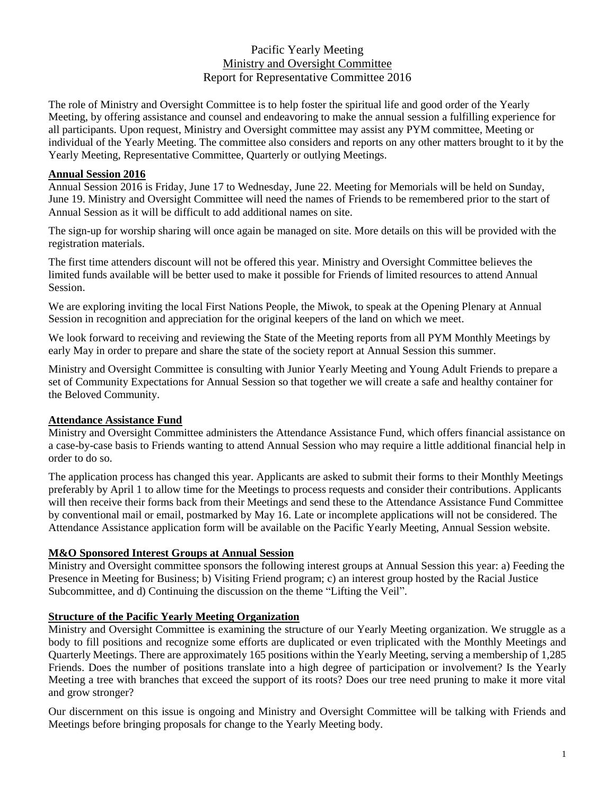# Pacific Yearly Meeting Ministry and Oversight Committee Report for Representative Committee 2016

The role of Ministry and Oversight Committee is to help foster the spiritual life and good order of the Yearly Meeting, by offering assistance and counsel and endeavoring to make the annual session a fulfilling experience for all participants. Upon request, Ministry and Oversight committee may assist any PYM committee, Meeting or individual of the Yearly Meeting. The committee also considers and reports on any other matters brought to it by the Yearly Meeting, Representative Committee, Quarterly or outlying Meetings.

#### **Annual Session 2016**

Annual Session 2016 is Friday, June 17 to Wednesday, June 22. Meeting for Memorials will be held on Sunday, June 19. Ministry and Oversight Committee will need the names of Friends to be remembered prior to the start of Annual Session as it will be difficult to add additional names on site.

The sign-up for worship sharing will once again be managed on site. More details on this will be provided with the registration materials.

The first time attenders discount will not be offered this year. Ministry and Oversight Committee believes the limited funds available will be better used to make it possible for Friends of limited resources to attend Annual Session.

We are exploring inviting the local First Nations People, the Miwok, to speak at the Opening Plenary at Annual Session in recognition and appreciation for the original keepers of the land on which we meet.

We look forward to receiving and reviewing the State of the Meeting reports from all PYM Monthly Meetings by early May in order to prepare and share the state of the society report at Annual Session this summer.

Ministry and Oversight Committee is consulting with Junior Yearly Meeting and Young Adult Friends to prepare a set of Community Expectations for Annual Session so that together we will create a safe and healthy container for the Beloved Community.

#### **Attendance Assistance Fund**

Ministry and Oversight Committee administers the Attendance Assistance Fund, which offers financial assistance on a case-by-case basis to Friends wanting to attend Annual Session who may require a little additional financial help in order to do so.

The application process has changed this year. Applicants are asked to submit their forms to their Monthly Meetings preferably by April 1 to allow time for the Meetings to process requests and consider their contributions. Applicants will then receive their forms back from their Meetings and send these to the Attendance Assistance Fund Committee by conventional mail or email, postmarked by May 16. Late or incomplete applications will not be considered. The Attendance Assistance application form will be available on the Pacific Yearly Meeting, Annual Session website.

#### **M&O Sponsored Interest Groups at Annual Session**

Ministry and Oversight committee sponsors the following interest groups at Annual Session this year: a) Feeding the Presence in Meeting for Business; b) Visiting Friend program; c) an interest group hosted by the Racial Justice Subcommittee, and d) Continuing the discussion on the theme "Lifting the Veil".

## **Structure of the Pacific Yearly Meeting Organization**

Ministry and Oversight Committee is examining the structure of our Yearly Meeting organization. We struggle as a body to fill positions and recognize some efforts are duplicated or even triplicated with the Monthly Meetings and Quarterly Meetings. There are approximately 165 positions within the Yearly Meeting, serving a membership of 1,285 Friends. Does the number of positions translate into a high degree of participation or involvement? Is the Yearly Meeting a tree with branches that exceed the support of its roots? Does our tree need pruning to make it more vital and grow stronger?

Our discernment on this issue is ongoing and Ministry and Oversight Committee will be talking with Friends and Meetings before bringing proposals for change to the Yearly Meeting body.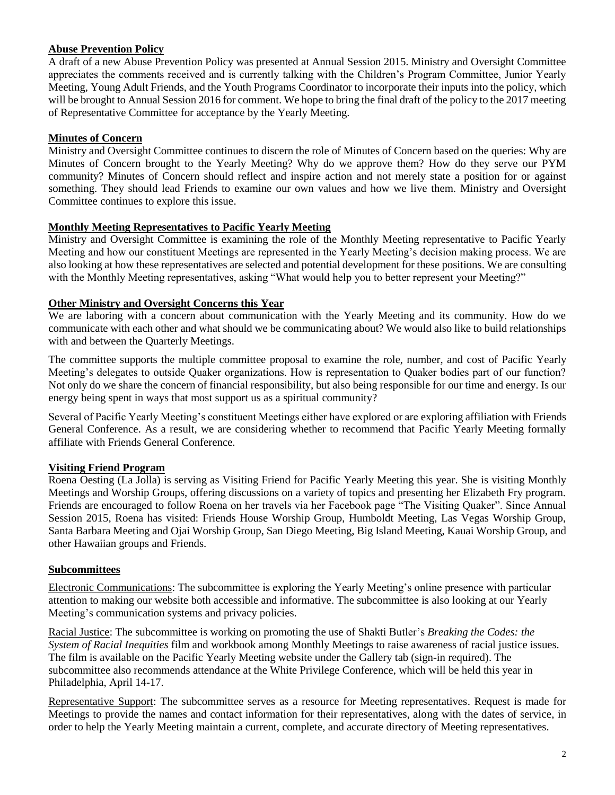## **Abuse Prevention Policy**

A draft of a new Abuse Prevention Policy was presented at Annual Session 2015. Ministry and Oversight Committee appreciates the comments received and is currently talking with the Children's Program Committee, Junior Yearly Meeting, Young Adult Friends, and the Youth Programs Coordinator to incorporate their inputs into the policy, which will be brought to Annual Session 2016 for comment. We hope to bring the final draft of the policy to the 2017 meeting of Representative Committee for acceptance by the Yearly Meeting.

## **Minutes of Concern**

Ministry and Oversight Committee continues to discern the role of Minutes of Concern based on the queries: Why are Minutes of Concern brought to the Yearly Meeting? Why do we approve them? How do they serve our PYM community? Minutes of Concern should reflect and inspire action and not merely state a position for or against something. They should lead Friends to examine our own values and how we live them. Ministry and Oversight Committee continues to explore this issue.

## **Monthly Meeting Representatives to Pacific Yearly Meeting**

Ministry and Oversight Committee is examining the role of the Monthly Meeting representative to Pacific Yearly Meeting and how our constituent Meetings are represented in the Yearly Meeting's decision making process. We are also looking at how these representatives are selected and potential development for these positions. We are consulting with the Monthly Meeting representatives, asking "What would help you to better represent your Meeting?"

# **Other Ministry and Oversight Concerns this Year**

We are laboring with a concern about communication with the Yearly Meeting and its community. How do we communicate with each other and what should we be communicating about? We would also like to build relationships with and between the Quarterly Meetings.

The committee supports the multiple committee proposal to examine the role, number, and cost of Pacific Yearly Meeting's delegates to outside Quaker organizations. How is representation to Quaker bodies part of our function? Not only do we share the concern of financial responsibility, but also being responsible for our time and energy. Is our energy being spent in ways that most support us as a spiritual community?

Several of Pacific Yearly Meeting's constituent Meetings either have explored or are exploring affiliation with Friends General Conference. As a result, we are considering whether to recommend that Pacific Yearly Meeting formally affiliate with Friends General Conference.

# **Visiting Friend Program**

Roena Oesting (La Jolla) is serving as Visiting Friend for Pacific Yearly Meeting this year. She is visiting Monthly Meetings and Worship Groups, offering discussions on a variety of topics and presenting her Elizabeth Fry program. Friends are encouraged to follow Roena on her travels via her Facebook page "The Visiting Quaker". Since Annual Session 2015, Roena has visited: Friends House Worship Group, Humboldt Meeting, Las Vegas Worship Group, Santa Barbara Meeting and Ojai Worship Group, San Diego Meeting, Big Island Meeting, Kauai Worship Group, and other Hawaiian groups and Friends.

## **Subcommittees**

Electronic Communications: The subcommittee is exploring the Yearly Meeting's online presence with particular attention to making our website both accessible and informative. The subcommittee is also looking at our Yearly Meeting's communication systems and privacy policies.

Racial Justice: The subcommittee is working on promoting the use of Shakti Butler's *Breaking the Codes: the System of Racial Inequities* film and workbook among Monthly Meetings to raise awareness of racial justice issues. The film is available on the Pacific Yearly Meeting website under the Gallery tab (sign-in required). The subcommittee also recommends attendance at the White Privilege Conference, which will be held this year in Philadelphia, April 14-17.

Representative Support: The subcommittee serves as a resource for Meeting representatives. Request is made for Meetings to provide the names and contact information for their representatives, along with the dates of service, in order to help the Yearly Meeting maintain a current, complete, and accurate directory of Meeting representatives.